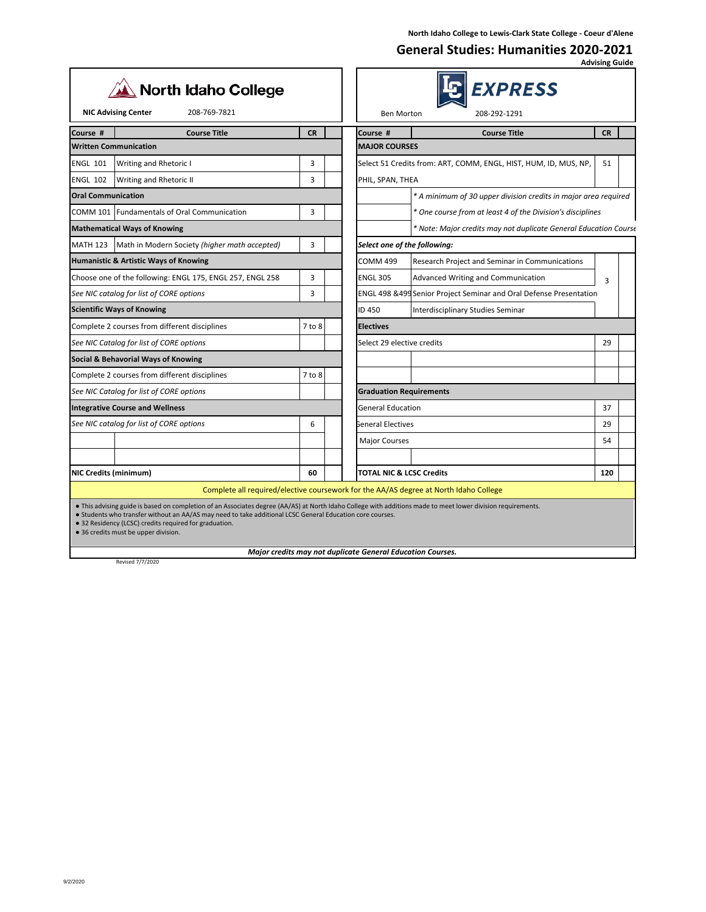## **General Studies: Humanities 2020-2021 Advising Guide**

| <b>North Idaho College</b><br><b>NIC Advising Center</b><br>208-769-7821                                                                                                                                                                                                                                                                                                    |            | <i><b>EXPRESS</b></i><br>208-292-1291<br><b>Ben Morton</b>                            |  |  |
|-----------------------------------------------------------------------------------------------------------------------------------------------------------------------------------------------------------------------------------------------------------------------------------------------------------------------------------------------------------------------------|------------|---------------------------------------------------------------------------------------|--|--|
|                                                                                                                                                                                                                                                                                                                                                                             |            |                                                                                       |  |  |
| <b>Course Title</b><br>Course #<br><b>Written Communication</b>                                                                                                                                                                                                                                                                                                             | <b>CR</b>  | <b>Course Title</b><br><b>CR</b><br>Course #<br><b>MAJOR COURSES</b>                  |  |  |
| <b>ENGL 101</b><br><b>Writing and Rhetoric I</b>                                                                                                                                                                                                                                                                                                                            | 3          | Select 51 Credits from: ART, COMM, ENGL, HIST, HUM, ID, MUS, NP,<br>51                |  |  |
| <b>ENGL 102</b><br>Writing and Rhetoric II                                                                                                                                                                                                                                                                                                                                  | 3          | PHIL, SPAN, THEA                                                                      |  |  |
| <b>Oral Communication</b>                                                                                                                                                                                                                                                                                                                                                   |            | * A minimum of 30 upper division credits in major area required                       |  |  |
| COMM 101 Fundamentals of Oral Communication                                                                                                                                                                                                                                                                                                                                 | 3          | * One course from at least 4 of the Division's disciplines                            |  |  |
| <b>Mathematical Ways of Knowing</b>                                                                                                                                                                                                                                                                                                                                         |            | * Note: Major credits may not duplicate General Education Course                      |  |  |
| <b>MATH 123</b><br>Math in Modern Society (higher math accepted)                                                                                                                                                                                                                                                                                                            | 3          | Select one of the following:                                                          |  |  |
| Humanistic & Artistic Ways of Knowing                                                                                                                                                                                                                                                                                                                                       |            | <b>COMM 499</b><br>Research Project and Seminar in Communications                     |  |  |
| Choose one of the following: ENGL 175, ENGL 257, ENGL 258                                                                                                                                                                                                                                                                                                                   | 3          | <b>ENGL 305</b><br>Advanced Writing and Communication<br>3                            |  |  |
| See NIC catalog for list of CORE options                                                                                                                                                                                                                                                                                                                                    | 3          | ENGL 498 & 499 Senior Project Seminar and Oral Defense Presentation                   |  |  |
| <b>Scientific Ways of Knowing</b>                                                                                                                                                                                                                                                                                                                                           |            | ID 450<br>Interdisciplinary Studies Seminar                                           |  |  |
| Complete 2 courses from different disciplines                                                                                                                                                                                                                                                                                                                               | 7 to 8     | <b>Electives</b>                                                                      |  |  |
| See NIC Catalog for list of CORE options                                                                                                                                                                                                                                                                                                                                    |            | Select 29 elective credits<br>29                                                      |  |  |
| Social & Behavorial Ways of Knowing                                                                                                                                                                                                                                                                                                                                         |            |                                                                                       |  |  |
| Complete 2 courses from different disciplines                                                                                                                                                                                                                                                                                                                               | $7$ to $8$ |                                                                                       |  |  |
| See NIC Catalog for list of CORE options                                                                                                                                                                                                                                                                                                                                    |            | <b>Graduation Requirements</b>                                                        |  |  |
| <b>Integrative Course and Wellness</b>                                                                                                                                                                                                                                                                                                                                      |            | <b>General Education</b><br>37                                                        |  |  |
| See NIC catalog for list of CORE options                                                                                                                                                                                                                                                                                                                                    | 6          | General Electives<br>29                                                               |  |  |
|                                                                                                                                                                                                                                                                                                                                                                             |            | 54<br><b>Major Courses</b>                                                            |  |  |
|                                                                                                                                                                                                                                                                                                                                                                             |            |                                                                                       |  |  |
| NIC Credits (minimum)                                                                                                                                                                                                                                                                                                                                                       | 60         | 120<br><b>TOTAL NIC &amp; LCSC Credits</b>                                            |  |  |
|                                                                                                                                                                                                                                                                                                                                                                             |            | Complete all required/elective coursework for the AA/AS degree at North Idaho College |  |  |
| • This advising guide is based on completion of an Associates degree (AA/AS) at North Idaho College with additions made to meet lower division requirements.<br>. Students who transfer without an AA/AS may need to take additional LCSC General Education core courses.<br>• 32 Residency (LCSC) credits required for graduation.<br>• 36 credits must be upper division. |            |                                                                                       |  |  |
| Revised 7/7/2020                                                                                                                                                                                                                                                                                                                                                            |            | Major credits may not duplicate General Education Courses.                            |  |  |